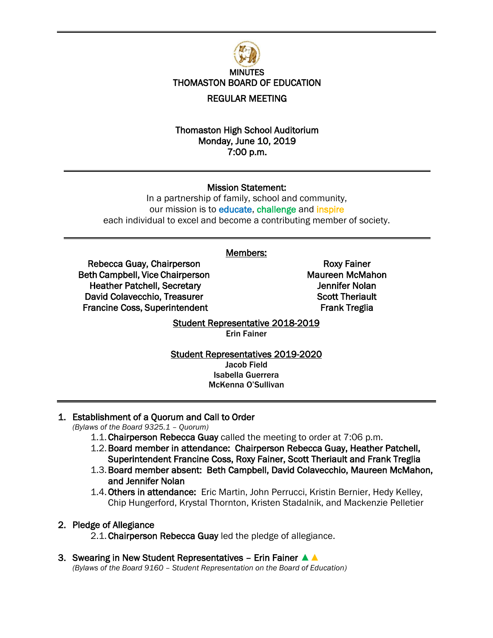

## Thomaston High School Auditorium Monday, June 10, 2019 7:00 p.m.

## Mission Statement:

In a partnership of family, school and community, our mission is to educate, challenge and inspire each individual to excel and become a contributing member of society.

## Members:

Rebecca Guay, Chairperson Beth Campbell, Vice Chairperson Heather Patchell, Secretary David Colavecchio, Treasurer Francine Coss, Superintendent

Roxy Fainer Maureen McMahon Jennifer Nolan Scott Theriault Frank Treglia

## Student Representative 2018-2019 Erin Fainer

#### Student Representatives 2019-2020 Jacob Field Isabella Guerrera McKenna O'Sullivan

# 1. Establishment of a Quorum and Call to Order

*(Bylaws of the Board 9325.1 – Quorum)*

- 1.1.Chairperson Rebecca Guay called the meeting to order at 7:06 p.m.
- 1.2.Board member in attendance: Chairperson Rebecca Guay, Heather Patchell, Superintendent Francine Coss, Roxy Fainer, Scott Theriault and Frank Treglia
- 1.3.Board member absent: Beth Campbell, David Colavecchio, Maureen McMahon, and Jennifer Nolan
- 1.4.Others in attendance: Eric Martin, John Perrucci, Kristin Bernier, Hedy Kelley, Chip Hungerford, Krystal Thornton, Kristen Stadalnik, and Mackenzie Pelletier

## 2. Pledge of Allegiance

2.1. Chairperson Rebecca Guay led the pledge of allegiance.

3. Swearing in New Student Representatives – Erin Fainer ▲▲ *(Bylaws of the Board 9160 – Student Representation on the Board of Education)*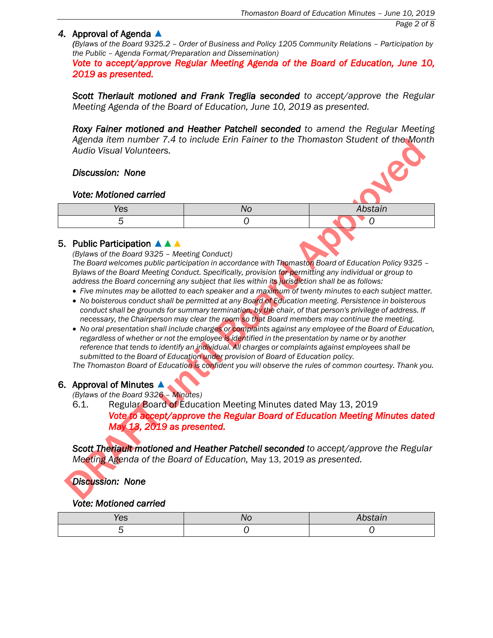## *4.* Approval of Agenda ▲

*(Bylaws of the Board 9325.2 - Order of Business and Policy 1205 Community Relations - Participation by the Public – Agenda Format/Preparation and Dissemination)*

*Vote to accept/approve Regular Meeting Agenda of the Board of Education, June 10, 2019 as presented.* 

*Scott Theriault motioned and Frank Treglia seconded to accept/approve the Regular Meeting Agenda of the Board of Education, June 10, 2019 as presented.*

*Roxy Fainer motioned and Heather Patchell seconded to amend the Regular Meeting Agenda item number 7.4 to include Erin Fainer to the Thomaston Student of the Month Audio Visual Volunteers.*

# *Discussion: None*

## *Vote: Motioned carried*

| res | V. | $\mathbf{A}$<br>----<br>.<br>,,,, |
|-----|----|-----------------------------------|
|     |    |                                   |

# 5. Public Participation ▲▲▲

*(Bylaws of the Board 9325 – Meeting Conduct)*

*The Board welcomes public participation in accordance with Thomaston Board of Education Policy 9325 – Bylaws of the Board Meeting Conduct. Specifically, provision for permitting any individual or group to address the Board concerning any subject that lies within its jurisdiction shall be as follows:*

- Five minutes may be allotted to each speaker and a maximum of twenty minutes to each subject matter.
- *No boisterous conduct shall be permitted at any Board of Education meeting. Persistence in boisterous conduct shall be grounds for summary termination, by the chair, of that person's privilege of address. If necessary, the Chairperson may clear the room so that Board members may continue the meeting.*
- *No oral presentation shall include charges or complaints against any employee of the Board of Education, regardless of whether or not the employee is identified in the presentation by name or by another reference that tends to identify an individual. All charges or complaints against employees shall be submitted to the Board of Education under provision of Board of Education policy.*

*The Thomaston Board of Education is confident you will observe the rules of common courtesy. Thank you.*

# 6. Approval of Minutes  $\blacktriangle$ .

*(Bylaws of the Board 9326 – Minutes)*

6.1. Regular Board of Education Meeting Minutes dated May 13, 2019

*Vote to accept/approve the Regular Board of Education Meeting Minutes dated May 13, 2019 as presented.* 

*Scott Theriault motioned and Heather Patchell seconded to accept/approve the Regular Meeting Agenda of the Board of Education,* May 13, 2019 *as presented.* 

## *Discussion: None*

# *Vote: Motioned carried*

| 65 |  |
|----|--|
|    |  |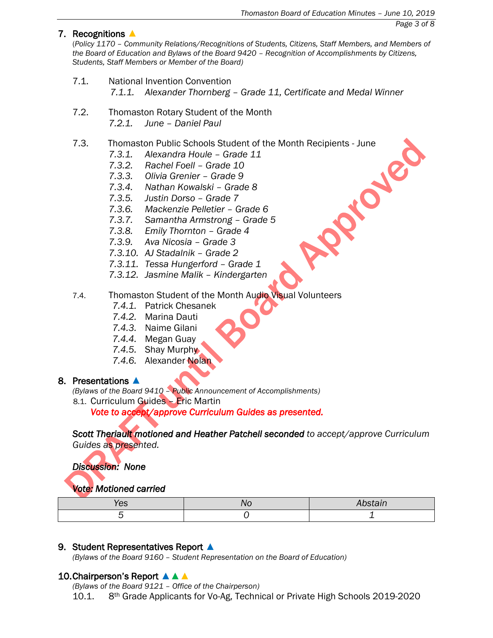## 7. Recognitions ▲

(*Policy 1170 – Community Relations/Recognitions of Students, Citizens, Staff Members, and Members of the Board of Education and Bylaws of the Board 9420 – Recognition of Accomplishments by Citizens, Students, Staff Members or Member of the Board)*

- 7.1. National Invention Convention *7.1.1. Alexander Thornberg – Grade 11, Certificate and Medal Winner*
- 7.2. Thomaston Rotary Student of the Month *7.2.1. June – Daniel Paul*

# 7.3. Thomaston Public Schools Student of the Month Recipients - June<br>
7.3.1. Alexandra Houle – Grade 11<br>
7.3.2. Rachel Foell – Grade 10<br>
7.3.3. Olivia Grenier – Grade 9<br>
7.3.4. Nathan Kowalski – Grade 8<br>
7.3.5. Justin Dors

- *7.3.1. Alexandra Houle – Grade 11*
- *7.3.2. Rachel Foell – Grade 10*
- *7.3.3. Olivia Grenier – Grade 9*
- *7.3.4. Nathan Kowalski – Grade 8*
- *7.3.5. Justin Dorso – Grade 7*
- *7.3.6. Mackenzie Pelletier – Grade 6*
- *7.3.7. Samantha Armstrong – Grade 5*
- *7.3.8. Emily Thornton – Grade 4*
- *7.3.9. Ava Nicosia – Grade 3*
- *7.3.10. AJ Stadalnik – Grade 2*
- *7.3.11. Tessa Hungerford – Grade 1*
- *7.3.12. Jasmine Malik – Kindergarten*
- 7.4. Thomaston Student of the Month Audio Visual Volunteers
	- *7.4.1.* Patrick Chesanek
	- *7.4.2.* Marina Dauti
	- *7.4.3.* Naime Gilani
	- *7.4.4.* Megan Guay
	- *7.4.5.* Shay Murphy
	- *7.4.6.* Alexander Nolan

## 8. Presentations ▲

*(Bylaws of the Board 9410 – Public Announcement of Accomplishments)*

8.1. Curriculum Guides – Eric Martin

*Vote to accept/approve Curriculum Guides as presented.*

*Scott Theriault motioned and Heather Patchell seconded to accept/approve Curriculum Guides as presented.*

*Discussion: None* 

# *Vote: Motioned carried*

| vo |  |
|----|--|
|    |  |

## 9. Student Representatives Report ▲

*(Bylaws of the Board 9160 – Student Representation on the Board of Education)*

## 10. Chairperson's Report **▲ ▲**

*(Bylaws of the Board 9121 – Office of the Chairperson)* 10.1. 8th Grade Applicants for Vo-Ag, Technical or Private High Schools 2019-2020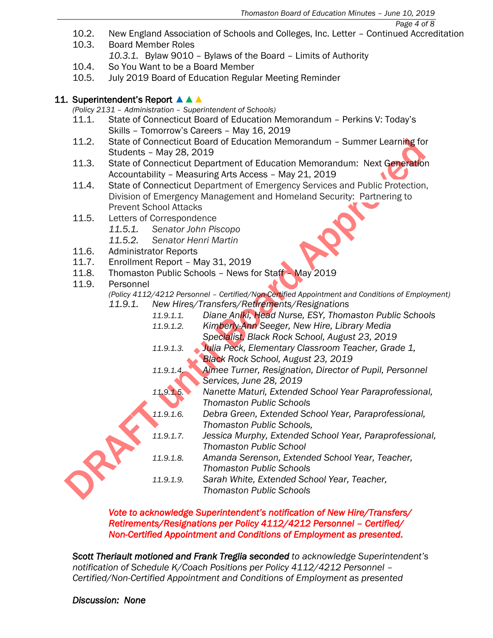*Page 4 of 8*

- 10.2. New England Association of Schools and Colleges, Inc. Letter Continued Accreditation
- 10.3. Board Member Roles

*10.3.1.* Bylaw 9010 – Bylaws of the Board – Limits of Authority

- 10.4. So You Want to be a Board Member
- 10.5. July 2019 Board of Education Regular Meeting Reminder

# 11. Superintendent's Report ▲▲▲

*(Policy 2131 – Administration – Superintendent of Schools)*

- 11.1. State of Connecticut Board of Education Memorandum Perkins V: Today's Skills – Tomorrow's Careers – May 16, 2019
- 11.2. State of Connecticut Board of Education Memorandum Summer Learning for Students – May 28, 2019
- 11.3. State of Connecticut Department of Education Memorandum: Next Generation Accountability – Measuring Arts Access – May 21, 2019  $\blacklozenge$
- 11.4. State of Connecticut Department of Emergency Services and Public Protection, Division of Emergency Management and Homeland Security: Partnering to Prevent School Attacks
- 11.5. Letters of Correspondence
	- *11.5.1. Senator John Piscopo*
	- *11.5.2. Senator Henri Martin*
- 11.6. Administrator Reports
- 11.7. Enrollment Report May 31, 2019
- 11.8. Thomaston Public Schools News for Staff May 2019
- 11.9. Personnel

*(Policy 4112/4212 Personnel – Certified/Non-Certified Appointment and Conditions of Employment) 11.9.1. New Hires/Transfers/Retirements/Resignations*

- *11.9.1.1. Diane Aniki, Head Nurse, ESY, Thomaston Public Schools 11.9.1.2. Kimberly-Ann Seeger, New Hire, Library Media Specialist, Black Rock School, August 23, 2019 11.9.1.3. Julia Peck, Elementary Classroom Teacher, Grade 1, Black Rock School, August 23, 2019 11.9.1.4. Aimee Turner, Resignation, Director of Pupil, Personnel Services, June 28, 2019 11.9.1.5. Nanette Maturi, Extended School Year Paraprofessional, Thomaston Public Schools 11.9.1.6. Debra Green, Extended School Year, Paraprofessional, Thomaston Public Schools, 11.9.1.7. Jessica Murphy, Extended School Year, Paraprofessional, Thomaston Public School 11.9.1.8. Amanda Serenson, Extended School Year, Teacher, Thomaston Public Schools*
	- *11.9.1.9. Sarah White, Extended School Year, Teacher, Thomaston Public Schools*

# *Vote to acknowledge Superintendent's notification of New Hire/Transfers/ Retirements/Resignations per Policy 4112/4212 Personnel – Certified/ Non-Certified Appointment and Conditions of Employment as presented.*

*Scott Theriault motioned and Frank Treglia seconded to acknowledge Superintendent's notification of Schedule K/Coach Positions per Policy 4112/4212 Personnel – Certified/Non-Certified Appointment and Conditions of Employment as presented*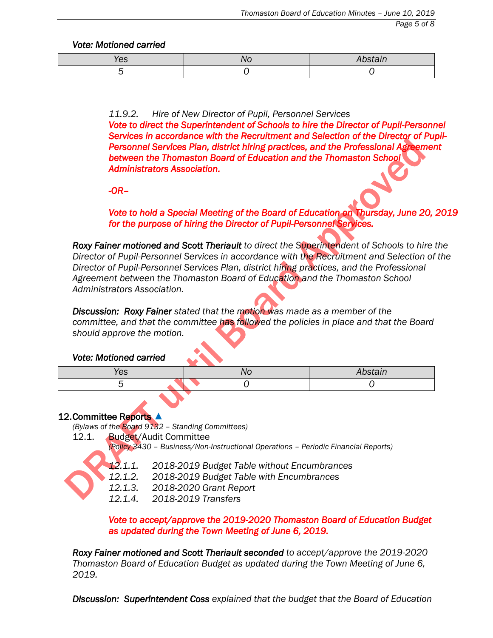*Vote: Motioned carried* 

| w |  |
|---|--|
|   |  |

*11.9.2. Hire of New Director of Pupil, Personnel Services Vote to direct the Superintendent of Schools to hire the Director of Pupil-Personnel Services in accordance with the Recruitment and Selection of the Director of Pupil-Personnel Services Plan, district hiring practices, and the Professional Agreement between the Thomaston Board of Education and the Thomaston School Administrators Association.* 

*-OR–* 

*Vote to hold a Special Meeting of the Board of Education on Thursday, June 20, 2019 for the purpose of hiring the Director of Pupil-Personnel Services.* 

*Roxy Fainer motioned and Scott Theriault to direct the Superintendent of Schools to hire the Director of Pupil-Personnel Services in accordance with the Recruitment and Selection of the Director of Pupil-Personnel Services Plan, district hiring practices, and the Professional Agreement between the Thomaston Board of Education and the Thomaston School Administrators Association.*

*Discussion: Roxy Fainer stated that the motion was made as a member of the committee, and that the committee has followed the policies in place and that the Board should approve the motion.*

# *Vote: Motioned carried*

| $\sim$<br>w |  |
|-------------|--|
|             |  |

# 12. Committee Reports ▲

*(Bylaws of the Board 9132 – Standing Committees)*

12.1. Budget/Audit Committee

*(Policy 3430 – Business/Non-Instructional Operations – Periodic Financial Reports)*



*12.1.1. 2018-2019 Budget Table without Encumbrances* 

*12.1.2. 2018-2019 Budget Table with Encumbrances*

- *12.1.3. 2018-2020 Grant Report*
- *12.1.4. 2018-2019 Transfers*

*Vote to accept/approve the 2019-2020 Thomaston Board of Education Budget as updated during the Town Meeting of June 6, 2019.* 

*Roxy Fainer motioned and Scott Theriault seconded to accept/approve the 2019-2020 Thomaston Board of Education Budget as updated during the Town Meeting of June 6, 2019.*

*Discussion: Superintendent Coss explained that the budget that the Board of Education*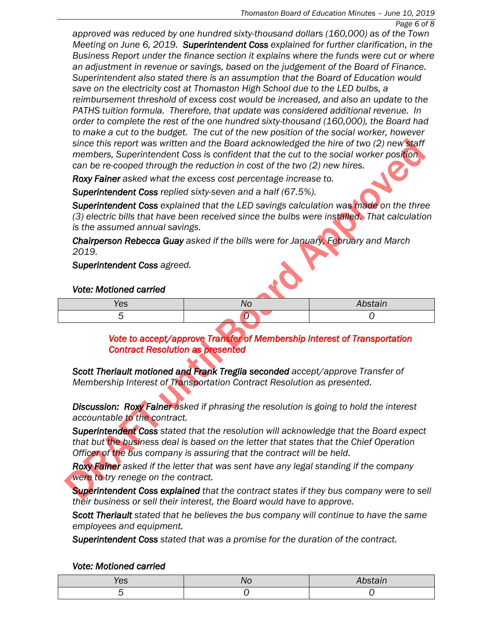*approved was reduced by one hundred sixty-thousand dollars (160,000) as of the Town Meeting on June 6, 2019. Superintendent Coss explained for further clarification, in the Business Report under the finance section it explains where the funds were cut or where an adjustment in revenue or savings, based on the judgement of the Board of Finance. Superintendent also stated there is an assumption that the Board of Education would save on the electricity cost at Thomaston High School due to the LED bulbs, a reimbursement threshold of excess cost would be increased, and also an update to the PATHS tuition formula. Therefore, that update was considered additional revenue. In order to complete the rest of the one hundred sixty-thousand (160,000), the Board had to make a cut to the budget. The cut of the new position of the social worker, however since this report was written and the Board acknowledged the hire of two (2) new staff members, Superintendent Coss is confident that the cut to the social worker position can be re-cooped through the reduction in cost of the two (2) new hires.* 

*Roxy Fainer asked what the excess cost percentage increase to.*

*Superintendent Coss replied sixty-seven and a half (67.5%).*

*Superintendent Coss explained that the LED savings calculation was made on the three (3) electric bills that have been received since the bulbs were installed. That calculation is the assumed annual savings.*

*Chairperson Rebecca Guay asked if the bills were for January, February and March 2019.*

*Superintendent Coss agreed.*

# *Vote: Motioned carried*

| Yes | $\overline{\phantom{a}}$ |
|-----|--------------------------|
|     |                          |

# *Vote to accept/approve Transfer of Membership Interest of Transportation Contract Resolution as presented*

*Scott Theriault motioned and Frank Treglia seconded accept/approve Transfer of Membership Interest of Transportation Contract Resolution as presented.*

*Discussion: Roxy Fainer asked if phrasing the resolution is going to hold the interest accountable to the contract.*

*Superintendent Coss stated that the resolution will acknowledge that the Board expect that but the business deal is based on the letter that states that the Chief Operation Officer of the bus company is assuring that the contract will be held.*

*Roxy Fainer asked if the letter that was sent have any legal standing if the company were to try renege on the contract.*

*Superintendent Coss explained that the contract states if they bus company were to sell their business or sell their interest, the Board would have to approve.*

*Scott Theriault stated that he believes the bus company will continue to have the same employees and equipment.*

*Superintendent Coss stated that was a promise for the duration of the contract.*

## *Vote: Motioned carried*

| UJ.<br>__ |  |
|-----------|--|
|           |  |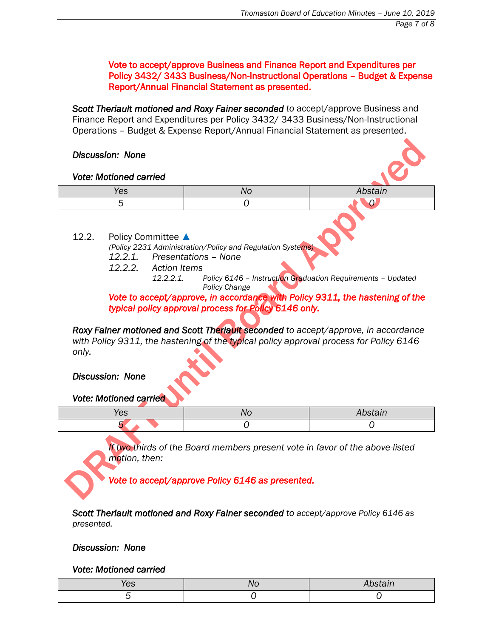Vote to accept/approve Business and Finance Report and Expenditures per Policy 3432/ 3433 Business/Non-Instructional Operations – Budget & Expense Report/Annual Financial Statement as presented.

*Scott Theriault motioned and Roxy Fainer seconded to* accept/approve Business and Finance Report and Expenditures per Policy 3432/ 3433 Business/Non-Instructional Operations – Budget & Expense Report/Annual Financial Statement as presented.

## *Discussion: None*

### *Vote: Motioned carried*

| ⁄es | ,,,,<br>$\overline{\phantom{a}}$ |
|-----|----------------------------------|
|     |                                  |

12.2. Policy Committee ▲

*(Policy 2231 Administration/Policy and Regulation Systems)*

- *12.2.1. Presentations – None*
- *12.2.2. Action Items*

*12.2.2.1. Policy 6146 – Instruction Graduation Requirements – Updated Policy Change*

*Vote to accept/approve, in accordance with Policy 9311, the hastening of the typical policy approval process for Policy 6146 only.* 

*Roxy Fainer motioned and Scott Theriault seconded to accept/approve, in accordance with Policy 9311, the hastening of the typical policy approval process for Policy 6146 only.*

*Discussion: None* 

## *Vote: Motioned carried*

| cə |  |
|----|--|
|    |  |

*If two-thirds of the Board members present vote in favor of the above-listed motion, then:*

*Vote to accept/approve Policy 6146 as presented.* 

*Scott Theriault motioned and Roxy Fainer seconded to accept/approve Policy 6146 as presented.* 

# *Discussion: None*

## *Vote: Motioned carried*

| , CO | <b>VU</b><br>- - - |  |
|------|--------------------|--|
|      |                    |  |